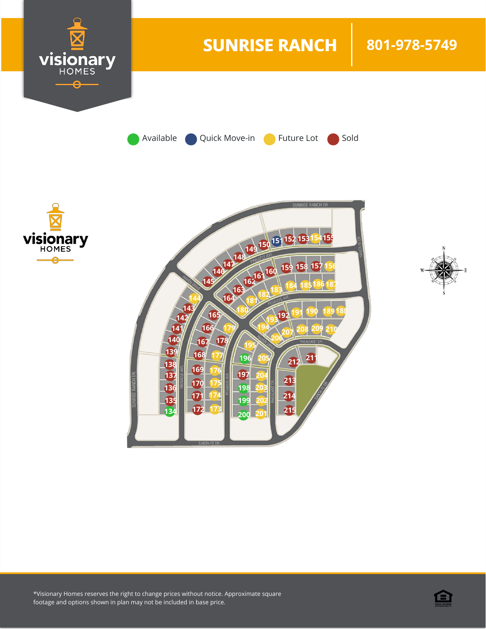

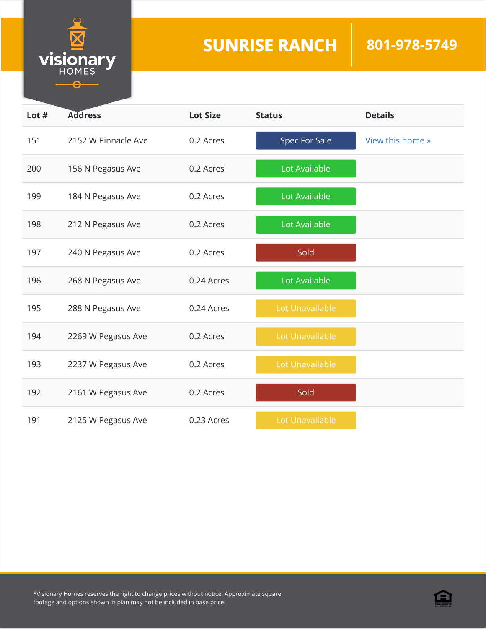

| Lot $#$ | <b>Address</b>      | <b>Lot Size</b> | <b>Status</b>   | <b>Details</b>   |
|---------|---------------------|-----------------|-----------------|------------------|
| 151     | 2152 W Pinnacle Ave | 0.2 Acres       | Spec For Sale   | View this home » |
| 200     | 156 N Pegasus Ave   | 0.2 Acres       | Lot Available   |                  |
| 199     | 184 N Pegasus Ave   | 0.2 Acres       | Lot Available   |                  |
| 198     | 212 N Pegasus Ave   | 0.2 Acres       | Lot Available   |                  |
| 197     | 240 N Pegasus Ave   | 0.2 Acres       | Sold            |                  |
| 196     | 268 N Pegasus Ave   | 0.24 Acres      | Lot Available   |                  |
| 195     | 288 N Pegasus Ave   | 0.24 Acres      | Lot Unavailable |                  |
| 194     | 2269 W Pegasus Ave  | 0.2 Acres       | Lot Unavailable |                  |
| 193     | 2237 W Pegasus Ave  | 0.2 Acres       | Lot Unavailable |                  |
| 192     | 2161 W Pegasus Ave  | 0.2 Acres       | Sold            |                  |
| 191     | 2125 W Pegasus Ave  | 0.23 Acres      | Lot Unavailable |                  |

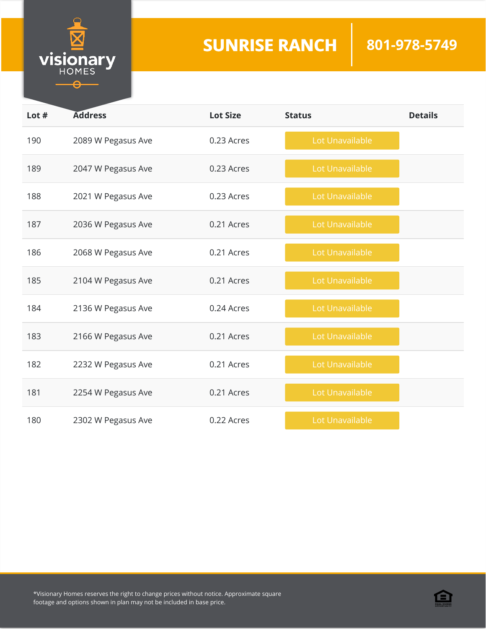

| Lot $#$ | <b>Address</b>     | <b>Lot Size</b> | <b>Status</b>   | <b>Details</b> |
|---------|--------------------|-----------------|-----------------|----------------|
| 190     | 2089 W Pegasus Ave | 0.23 Acres      | Lot Unavailable |                |
| 189     | 2047 W Pegasus Ave | 0.23 Acres      | Lot Unavailable |                |
| 188     | 2021 W Pegasus Ave | 0.23 Acres      | Lot Unavailable |                |
| 187     | 2036 W Pegasus Ave | 0.21 Acres      | Lot Unavailable |                |
| 186     | 2068 W Pegasus Ave | 0.21 Acres      | Lot Unavailable |                |
| 185     | 2104 W Pegasus Ave | 0.21 Acres      | Lot Unavailable |                |
| 184     | 2136 W Pegasus Ave | 0.24 Acres      | Lot Unavailable |                |
| 183     | 2166 W Pegasus Ave | 0.21 Acres      | Lot Unavailable |                |
| 182     | 2232 W Pegasus Ave | 0.21 Acres      | Lot Unavailable |                |
| 181     | 2254 W Pegasus Ave | 0.21 Acres      | Lot Unavailable |                |
| 180     | 2302 W Pegasus Ave | 0.22 Acres      | Lot Unavailable |                |

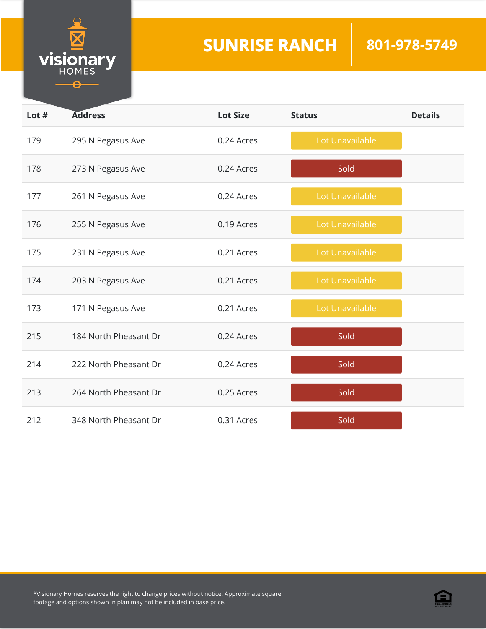

| Lot $#$ | <b>Address</b>        | <b>Lot Size</b> | <b>Status</b>   | <b>Details</b> |
|---------|-----------------------|-----------------|-----------------|----------------|
| 179     | 295 N Pegasus Ave     | 0.24 Acres      | Lot Unavailable |                |
| 178     | 273 N Pegasus Ave     | 0.24 Acres      | Sold            |                |
| 177     | 261 N Pegasus Ave     | 0.24 Acres      | Lot Unavailable |                |
| 176     | 255 N Pegasus Ave     | 0.19 Acres      | Lot Unavailable |                |
| 175     | 231 N Pegasus Ave     | 0.21 Acres      | Lot Unavailable |                |
| 174     | 203 N Pegasus Ave     | 0.21 Acres      | Lot Unavailable |                |
| 173     | 171 N Pegasus Ave     | 0.21 Acres      | Lot Unavailable |                |
| 215     | 184 North Pheasant Dr | 0.24 Acres      | Sold            |                |
| 214     | 222 North Pheasant Dr | 0.24 Acres      | Sold            |                |
| 213     | 264 North Pheasant Dr | 0.25 Acres      | Sold            |                |
| 212     | 348 North Pheasant Dr | 0.31 Acres      | Sold            |                |

\*Visionary Homes reserves the right to change prices without notice. Approximate square footage and options shown in plan may not be included in base price.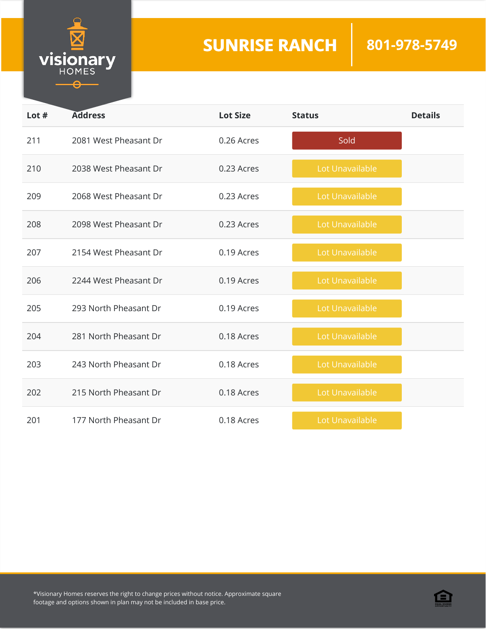

| Lot # | <b>Address</b>        | <b>Lot Size</b> | <b>Status</b>   | <b>Details</b> |
|-------|-----------------------|-----------------|-----------------|----------------|
| 211   | 2081 West Pheasant Dr | 0.26 Acres      | Sold            |                |
| 210   | 2038 West Pheasant Dr | 0.23 Acres      | Lot Unavailable |                |
| 209   | 2068 West Pheasant Dr | 0.23 Acres      | Lot Unavailable |                |
| 208   | 2098 West Pheasant Dr | 0.23 Acres      | Lot Unavailable |                |
| 207   | 2154 West Pheasant Dr | 0.19 Acres      | Lot Unavailable |                |
| 206   | 2244 West Pheasant Dr | 0.19 Acres      | Lot Unavailable |                |
| 205   | 293 North Pheasant Dr | 0.19 Acres      | Lot Unavailable |                |
| 204   | 281 North Pheasant Dr | 0.18 Acres      | Lot Unavailable |                |
| 203   | 243 North Pheasant Dr | 0.18 Acres      | Lot Unavailable |                |
| 202   | 215 North Pheasant Dr | 0.18 Acres      | Lot Unavailable |                |
| 201   | 177 North Pheasant Dr | 0.18 Acres      | Lot Unavailable |                |

\*Visionary Homes reserves the right to change prices without notice. Approximate square footage and options shown in plan may not be included in base price.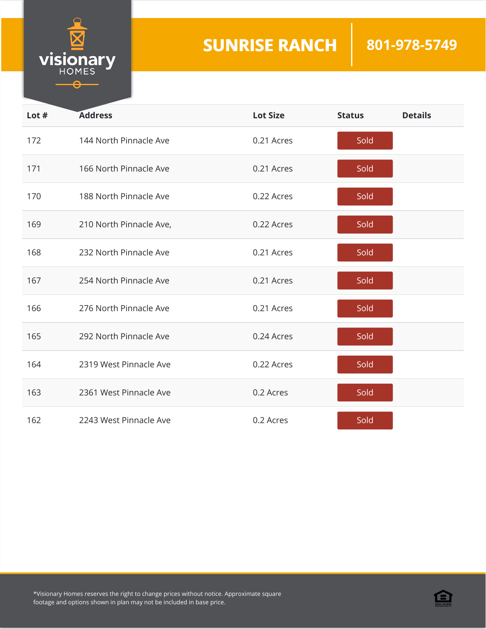

| Lot $#$ | <b>Address</b>          | <b>Lot Size</b> | <b>Status</b> | <b>Details</b> |
|---------|-------------------------|-----------------|---------------|----------------|
| 172     | 144 North Pinnacle Ave  | 0.21 Acres      | Sold          |                |
| 171     | 166 North Pinnacle Ave  | 0.21 Acres      | Sold          |                |
| 170     | 188 North Pinnacle Ave  | 0.22 Acres      | Sold          |                |
| 169     | 210 North Pinnacle Ave, | 0.22 Acres      | Sold          |                |
| 168     | 232 North Pinnacle Ave  | 0.21 Acres      | Sold          |                |
| 167     | 254 North Pinnacle Ave  | 0.21 Acres      | Sold          |                |
| 166     | 276 North Pinnacle Ave  | 0.21 Acres      | Sold          |                |
| 165     | 292 North Pinnacle Ave  | 0.24 Acres      | Sold          |                |
| 164     | 2319 West Pinnacle Ave  | 0.22 Acres      | Sold          |                |
| 163     | 2361 West Pinnacle Ave  | 0.2 Acres       | Sold          |                |
| 162     | 2243 West Pinnacle Ave  | 0.2 Acres       | Sold          |                |

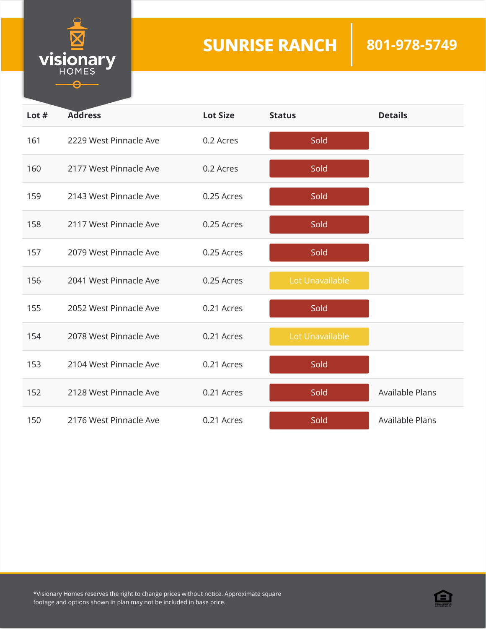

| Lot $#$ | <b>Address</b>         | <b>Lot Size</b> | <b>Status</b>   | <b>Details</b>  |
|---------|------------------------|-----------------|-----------------|-----------------|
| 161     | 2229 West Pinnacle Ave | 0.2 Acres       | Sold            |                 |
| 160     | 2177 West Pinnacle Ave | 0.2 Acres       | Sold            |                 |
| 159     | 2143 West Pinnacle Ave | 0.25 Acres      | Sold            |                 |
| 158     | 2117 West Pinnacle Ave | 0.25 Acres      | Sold            |                 |
| 157     | 2079 West Pinnacle Ave | 0.25 Acres      | Sold            |                 |
| 156     | 2041 West Pinnacle Ave | 0.25 Acres      | Lot Unavailable |                 |
| 155     | 2052 West Pinnacle Ave | 0.21 Acres      | Sold            |                 |
| 154     | 2078 West Pinnacle Ave | 0.21 Acres      | Lot Unavailable |                 |
| 153     | 2104 West Pinnacle Ave | 0.21 Acres      | Sold            |                 |
| 152     | 2128 West Pinnacle Ave | 0.21 Acres      | Sold            | Available Plans |
| 150     | 2176 West Pinnacle Ave | 0.21 Acres      | Sold            | Available Plans |